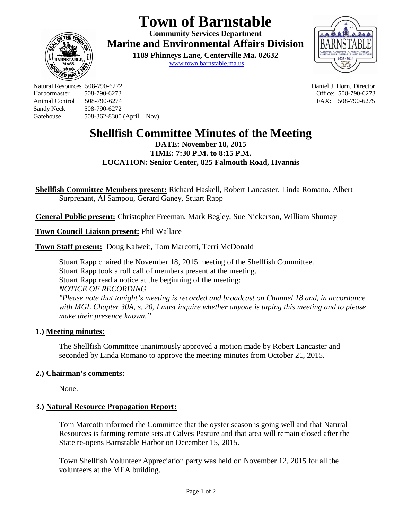# **Town of Barnstable**

**Community Services Department Marine and Environmental Affairs Division** 

> **1189 Phinneys Lane, Centerville Ma. 02632** www.town.barnstable.ma.us



Natural Resources 508-790-6272 Daniel J. Horn, Director Harbormaster 508-790-6273 Office: 508-790-6273 Sandy Neck 508-790-6272 Gatehouse 508-362-8300 (April – Nov)

**ED MI** 

FAX: 508-790-6275

## **Shellfish Committee Minutes of the Meeting**

**DATE: November 18, 2015 TIME: 7:30 P.M. to 8:15 P.M. LOCATION: Senior Center, 825 Falmouth Road, Hyannis**

**Shellfish Committee Members present:** Richard Haskell, Robert Lancaster, Linda Romano, Albert Surprenant, Al Sampou, Gerard Ganey, Stuart Rapp

**General Public present:** Christopher Freeman, Mark Begley, Sue Nickerson, William Shumay

**Town Council Liaison present:** Phil Wallace

**Town Staff present:** Doug Kalweit, Tom Marcotti, Terri McDonald

Stuart Rapp chaired the November 18, 2015 meeting of the Shellfish Committee. Stuart Rapp took a roll call of members present at the meeting. Stuart Rapp read a notice at the beginning of the meeting: *NOTICE OF RECORDING "Please note that tonight's meeting is recorded and broadcast on Channel 18 and, in accordance with MGL Chapter 30A, s. 20, I must inquire whether anyone is taping this meeting and to please make their presence known."*

## **1.) Meeting minutes:**

The Shellfish Committee unanimously approved a motion made by Robert Lancaster and seconded by Linda Romano to approve the meeting minutes from October 21, 2015.

## **2.) Chairman's comments:**

None.

## **3.) Natural Resource Propagation Report:**

Tom Marcotti informed the Committee that the oyster season is going well and that Natural Resources is farming remote sets at Calves Pasture and that area will remain closed after the State re-opens Barnstable Harbor on December 15, 2015.

Town Shellfish Volunteer Appreciation party was held on November 12, 2015 for all the volunteers at the MEA building.